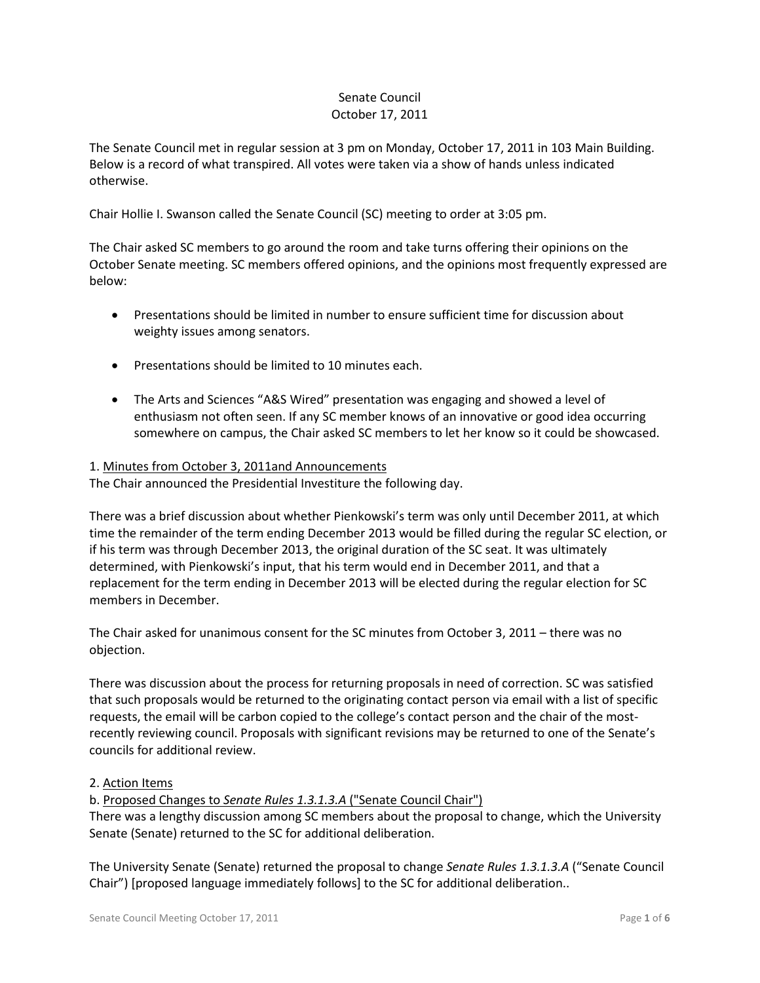# Senate Council October 17, 2011

The Senate Council met in regular session at 3 pm on Monday, October 17, 2011 in 103 Main Building. Below is a record of what transpired. All votes were taken via a show of hands unless indicated otherwise.

Chair Hollie I. Swanson called the Senate Council (SC) meeting to order at 3:05 pm.

The Chair asked SC members to go around the room and take turns offering their opinions on the October Senate meeting. SC members offered opinions, and the opinions most frequently expressed are below:

- Presentations should be limited in number to ensure sufficient time for discussion about weighty issues among senators.
- Presentations should be limited to 10 minutes each.
- The Arts and Sciences "A&S Wired" presentation was engaging and showed a level of enthusiasm not often seen. If any SC member knows of an innovative or good idea occurring somewhere on campus, the Chair asked SC members to let her know so it could be showcased.

### 1. Minutes from October 3, 2011and Announcements

The Chair announced the Presidential Investiture the following day.

There was a brief discussion about whether Pienkowski's term was only until December 2011, at which time the remainder of the term ending December 2013 would be filled during the regular SC election, or if his term was through December 2013, the original duration of the SC seat. It was ultimately determined, with Pienkowski's input, that his term would end in December 2011, and that a replacement for the term ending in December 2013 will be elected during the regular election for SC members in December.

The Chair asked for unanimous consent for the SC minutes from October 3, 2011 – there was no objection.

There was discussion about the process for returning proposals in need of correction. SC was satisfied that such proposals would be returned to the originating contact person via email with a list of specific requests, the email will be carbon copied to the college's contact person and the chair of the mostrecently reviewing council. Proposals with significant revisions may be returned to one of the Senate's councils for additional review.

### 2. Action Items

b. Proposed Changes to *Senate Rules 1.3.1.3.A* ("Senate Council Chair")

There was a lengthy discussion among SC members about the proposal to change, which the University Senate (Senate) returned to the SC for additional deliberation.

The University Senate (Senate) returned the proposal to change *Senate Rules 1.3.1.3.A* ("Senate Council Chair") [proposed language immediately follows] to the SC for additional deliberation..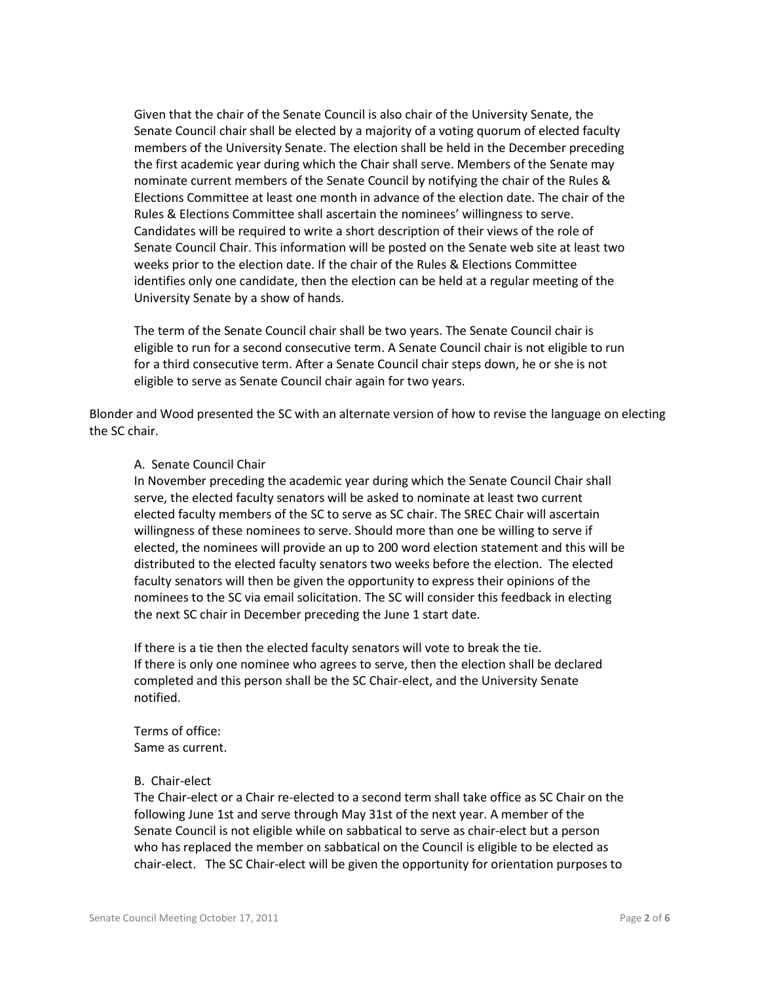Given that the chair of the Senate Council is also chair of the University Senate, the Senate Council chair shall be elected by a majority of a voting quorum of elected faculty members of the University Senate. The election shall be held in the December preceding the first academic year during which the Chair shall serve. Members of the Senate may nominate current members of the Senate Council by notifying the chair of the Rules & Elections Committee at least one month in advance of the election date. The chair of the Rules & Elections Committee shall ascertain the nominees' willingness to serve. Candidates will be required to write a short description of their views of the role of Senate Council Chair. This information will be posted on the Senate web site at least two weeks prior to the election date. If the chair of the Rules & Elections Committee identifies only one candidate, then the election can be held at a regular meeting of the University Senate by a show of hands.

The term of the Senate Council chair shall be two years. The Senate Council chair is eligible to run for a second consecutive term. A Senate Council chair is not eligible to run for a third consecutive term. After a Senate Council chair steps down, he or she is not eligible to serve as Senate Council chair again for two years.

Blonder and Wood presented the SC with an alternate version of how to revise the language on electing the SC chair.

### A. Senate Council Chair

In November preceding the academic year during which the Senate Council Chair shall serve, the elected faculty senators will be asked to nominate at least two current elected faculty members of the SC to serve as SC chair. The SREC Chair will ascertain willingness of these nominees to serve. Should more than one be willing to serve if elected, the nominees will provide an up to 200 word election statement and this will be distributed to the elected faculty senators two weeks before the election. The elected faculty senators will then be given the opportunity to express their opinions of the nominees to the SC via email solicitation. The SC will consider this feedback in electing the next SC chair in December preceding the June 1 start date.

If there is a tie then the elected faculty senators will vote to break the tie. If there is only one nominee who agrees to serve, then the election shall be declared completed and this person shall be the SC Chair-elect, and the University Senate notified.

Terms of office: Same as current.

### B. Chair-elect

The Chair-elect or a Chair re-elected to a second term shall take office as SC Chair on the following June 1st and serve through May 31st of the next year. A member of the Senate Council is not eligible while on sabbatical to serve as chair-elect but a person who has replaced the member on sabbatical on the Council is eligible to be elected as chair-elect. The SC Chair-elect will be given the opportunity for orientation purposes to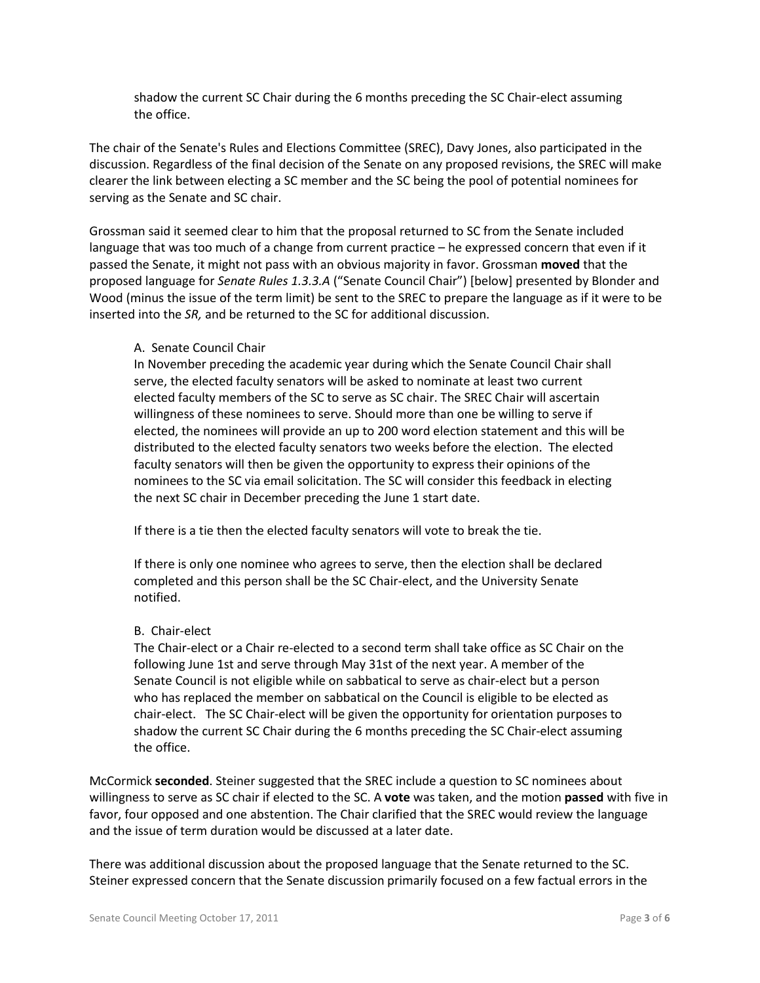shadow the current SC Chair during the 6 months preceding the SC Chair-elect assuming the office.

The chair of the Senate's Rules and Elections Committee (SREC), Davy Jones, also participated in the discussion. Regardless of the final decision of the Senate on any proposed revisions, the SREC will make clearer the link between electing a SC member and the SC being the pool of potential nominees for serving as the Senate and SC chair.

Grossman said it seemed clear to him that the proposal returned to SC from the Senate included language that was too much of a change from current practice – he expressed concern that even if it passed the Senate, it might not pass with an obvious majority in favor. Grossman **moved** that the proposed language for *Senate Rules 1.3.3.A* ("Senate Council Chair") [below] presented by Blonder and Wood (minus the issue of the term limit) be sent to the SREC to prepare the language as if it were to be inserted into the *SR,* and be returned to the SC for additional discussion.

### A. Senate Council Chair

In November preceding the academic year during which the Senate Council Chair shall serve, the elected faculty senators will be asked to nominate at least two current elected faculty members of the SC to serve as SC chair. The SREC Chair will ascertain willingness of these nominees to serve. Should more than one be willing to serve if elected, the nominees will provide an up to 200 word election statement and this will be distributed to the elected faculty senators two weeks before the election. The elected faculty senators will then be given the opportunity to express their opinions of the nominees to the SC via email solicitation. The SC will consider this feedback in electing the next SC chair in December preceding the June 1 start date.

If there is a tie then the elected faculty senators will vote to break the tie.

If there is only one nominee who agrees to serve, then the election shall be declared completed and this person shall be the SC Chair-elect, and the University Senate notified.

### B. Chair-elect

The Chair-elect or a Chair re-elected to a second term shall take office as SC Chair on the following June 1st and serve through May 31st of the next year. A member of the Senate Council is not eligible while on sabbatical to serve as chair-elect but a person who has replaced the member on sabbatical on the Council is eligible to be elected as chair-elect. The SC Chair-elect will be given the opportunity for orientation purposes to shadow the current SC Chair during the 6 months preceding the SC Chair-elect assuming the office.

McCormick **seconded**. Steiner suggested that the SREC include a question to SC nominees about willingness to serve as SC chair if elected to the SC. A **vote** was taken, and the motion **passed** with five in favor, four opposed and one abstention. The Chair clarified that the SREC would review the language and the issue of term duration would be discussed at a later date.

There was additional discussion about the proposed language that the Senate returned to the SC. Steiner expressed concern that the Senate discussion primarily focused on a few factual errors in the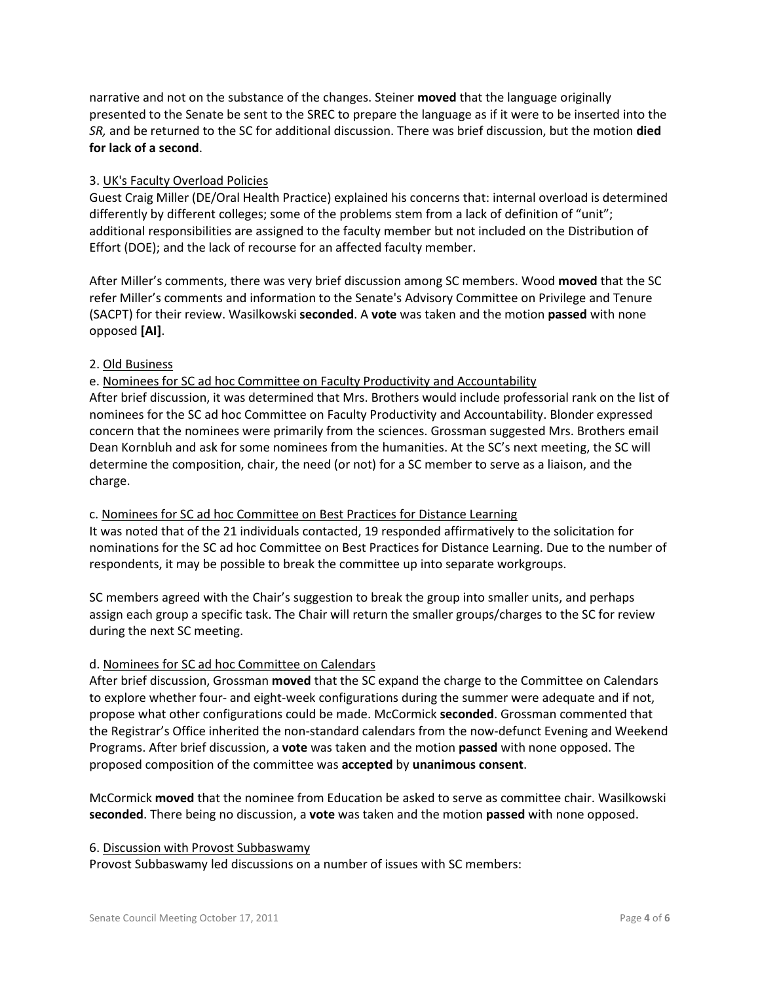narrative and not on the substance of the changes. Steiner **moved** that the language originally presented to the Senate be sent to the SREC to prepare the language as if it were to be inserted into the *SR,* and be returned to the SC for additional discussion. There was brief discussion, but the motion **died for lack of a second**.

## 3. UK's Faculty Overload Policies

Guest Craig Miller (DE/Oral Health Practice) explained his concerns that: internal overload is determined differently by different colleges; some of the problems stem from a lack of definition of "unit"; additional responsibilities are assigned to the faculty member but not included on the Distribution of Effort (DOE); and the lack of recourse for an affected faculty member.

After Miller's comments, there was very brief discussion among SC members. Wood **moved** that the SC refer Miller's comments and information to the Senate's Advisory Committee on Privilege and Tenure (SACPT) for their review. Wasilkowski **seconded**. A **vote** was taken and the motion **passed** with none opposed **[AI]**.

### 2. Old Business

### e. Nominees for SC ad hoc Committee on Faculty Productivity and Accountability

After brief discussion, it was determined that Mrs. Brothers would include professorial rank on the list of nominees for the SC ad hoc Committee on Faculty Productivity and Accountability. Blonder expressed concern that the nominees were primarily from the sciences. Grossman suggested Mrs. Brothers email Dean Kornbluh and ask for some nominees from the humanities. At the SC's next meeting, the SC will determine the composition, chair, the need (or not) for a SC member to serve as a liaison, and the charge.

### c. Nominees for SC ad hoc Committee on Best Practices for Distance Learning

It was noted that of the 21 individuals contacted, 19 responded affirmatively to the solicitation for nominations for the SC ad hoc Committee on Best Practices for Distance Learning. Due to the number of respondents, it may be possible to break the committee up into separate workgroups.

SC members agreed with the Chair's suggestion to break the group into smaller units, and perhaps assign each group a specific task. The Chair will return the smaller groups/charges to the SC for review during the next SC meeting.

### d. Nominees for SC ad hoc Committee on Calendars

After brief discussion, Grossman **moved** that the SC expand the charge to the Committee on Calendars to explore whether four- and eight-week configurations during the summer were adequate and if not, propose what other configurations could be made. McCormick **seconded**. Grossman commented that the Registrar's Office inherited the non-standard calendars from the now-defunct Evening and Weekend Programs. After brief discussion, a **vote** was taken and the motion **passed** with none opposed. The proposed composition of the committee was **accepted** by **unanimous consent**.

McCormick **moved** that the nominee from Education be asked to serve as committee chair. Wasilkowski **seconded**. There being no discussion, a **vote** was taken and the motion **passed** with none opposed.

### 6. Discussion with Provost Subbaswamy

Provost Subbaswamy led discussions on a number of issues with SC members: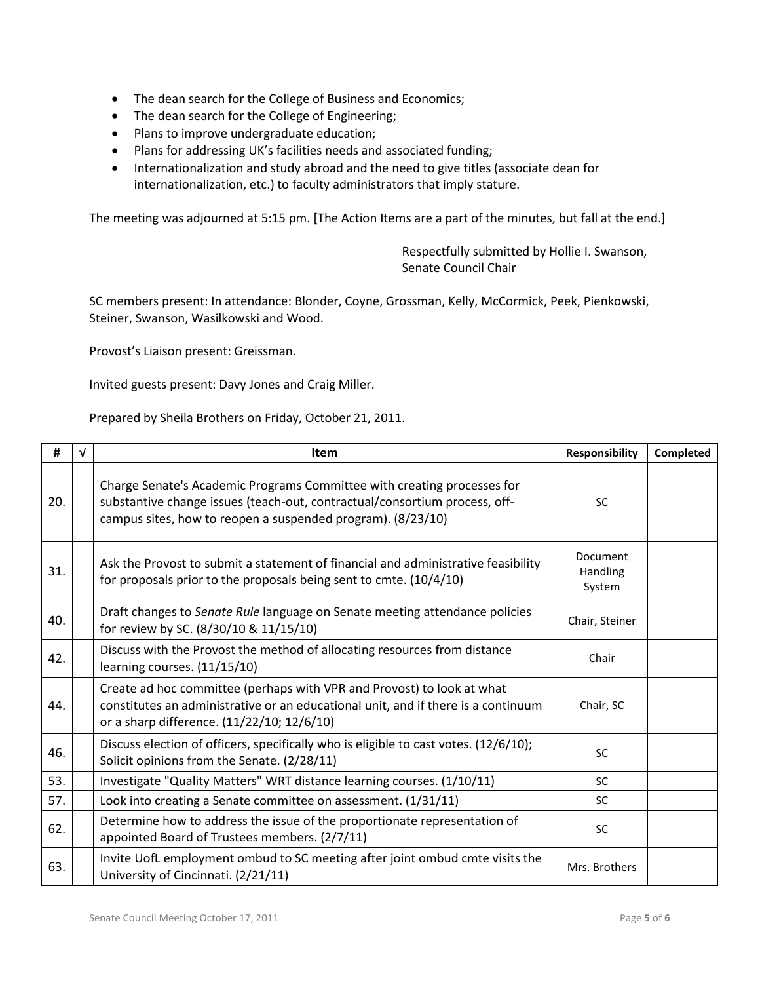- The dean search for the College of Business and Economics;
- The dean search for the College of Engineering;
- Plans to improve undergraduate education;
- Plans for addressing UK's facilities needs and associated funding;
- Internationalization and study abroad and the need to give titles (associate dean for internationalization, etc.) to faculty administrators that imply stature.

The meeting was adjourned at 5:15 pm. [The Action Items are a part of the minutes, but fall at the end.]

Respectfully submitted by Hollie I. Swanson, Senate Council Chair

SC members present: In attendance: Blonder, Coyne, Grossman, Kelly, McCormick, Peek, Pienkowski, Steiner, Swanson, Wasilkowski and Wood.

Provost's Liaison present: Greissman.

Invited guests present: Davy Jones and Craig Miller.

Prepared by Sheila Brothers on Friday, October 21, 2011.

| #   | $\sqrt{ }$ | <b>Item</b>                                                                                                                                                                                                          | Responsibility                        | Completed |
|-----|------------|----------------------------------------------------------------------------------------------------------------------------------------------------------------------------------------------------------------------|---------------------------------------|-----------|
| 20. |            | Charge Senate's Academic Programs Committee with creating processes for<br>substantive change issues (teach-out, contractual/consortium process, off-<br>campus sites, how to reopen a suspended program). (8/23/10) | <b>SC</b>                             |           |
| 31. |            | Ask the Provost to submit a statement of financial and administrative feasibility<br>for proposals prior to the proposals being sent to cmte. (10/4/10)                                                              | <b>Document</b><br>Handling<br>System |           |
| 40. |            | Draft changes to Senate Rule language on Senate meeting attendance policies<br>for review by SC. (8/30/10 & 11/15/10)                                                                                                | Chair, Steiner                        |           |
| 42. |            | Discuss with the Provost the method of allocating resources from distance<br>learning courses. (11/15/10)                                                                                                            | Chair                                 |           |
| 44. |            | Create ad hoc committee (perhaps with VPR and Provost) to look at what<br>constitutes an administrative or an educational unit, and if there is a continuum<br>or a sharp difference. (11/22/10; 12/6/10)            | Chair, SC                             |           |
| 46. |            | Discuss election of officers, specifically who is eligible to cast votes. (12/6/10);<br>Solicit opinions from the Senate. (2/28/11)                                                                                  | <b>SC</b>                             |           |
| 53. |            | Investigate "Quality Matters" WRT distance learning courses. (1/10/11)                                                                                                                                               | <b>SC</b>                             |           |
| 57. |            | Look into creating a Senate committee on assessment. (1/31/11)                                                                                                                                                       | <b>SC</b>                             |           |
| 62. |            | Determine how to address the issue of the proportionate representation of<br>appointed Board of Trustees members. (2/7/11)                                                                                           | SC                                    |           |
| 63. |            | Invite UofL employment ombud to SC meeting after joint ombud cmte visits the<br>University of Cincinnati. (2/21/11)                                                                                                  | Mrs. Brothers                         |           |